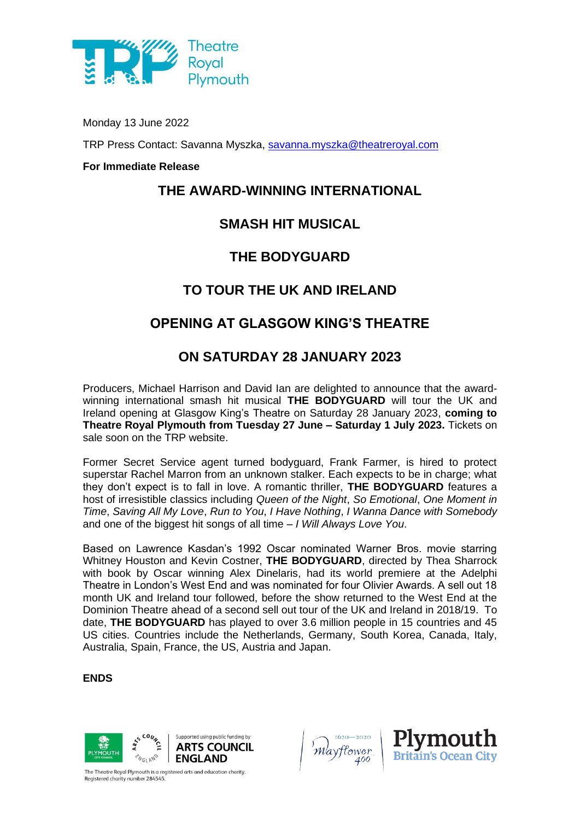

Monday 13 June 2022

TRP Press Contact: Savanna Myszka, [savanna.myszka@theatreroyal.com](mailto:savanna.myszka@theatreroyal.com)

#### **For Immediate Release**

#### **THE AWARD-WINNING INTERNATIONAL**

#### **SMASH HIT MUSICAL**

## **THE BODYGUARD**

# **TO TOUR THE UK AND IRELAND**

# **OPENING AT GLASGOW KING'S THEATRE**

## **ON SATURDAY 28 JANUARY 2023**

Producers, Michael Harrison and David Ian are delighted to announce that the awardwinning international smash hit musical **THE BODYGUARD** will tour the UK and Ireland opening at Glasgow King's Theatre on Saturday 28 January 2023, **coming to Theatre Royal Plymouth from Tuesday 27 June – Saturday 1 July 2023.** Tickets on sale soon on the TRP website.

Former Secret Service agent turned bodyguard, Frank Farmer, is hired to protect superstar Rachel Marron from an unknown stalker. Each expects to be in charge; what they don't expect is to fall in love. A romantic thriller, **THE BODYGUARD** features a host of irresistible classics including *Queen of the Night*, *So Emotional*, *One Moment in Time*, *Saving All My Love*, *Run to You*, *I Have Nothing*, *I Wanna Dance with Somebody* and one of the biggest hit songs of all time – *I Will Always Love You*.

Based on Lawrence Kasdan's 1992 Oscar nominated Warner Bros. movie starring Whitney Houston and Kevin Costner, **THE BODYGUARD**, directed by Thea Sharrock with book by Oscar winning Alex Dinelaris, had its world premiere at the Adelphi Theatre in London's West End and was nominated for four Olivier Awards. A sell out 18 month UK and Ireland tour followed, before the show returned to the West End at the Dominion Theatre ahead of a second sell out tour of the UK and Ireland in 2018/19. To date, **THE BODYGUARD** has played to over 3.6 million people in 15 countries and 45 US cities. Countries include the Netherlands, Germany, South Korea, Canada, Italy, Australia, Spain, France, the US, Austria and Japan.

#### **ENDS**







The Theatre Royal Plymouth is a registered arts and education charity. egistered charity number 284545